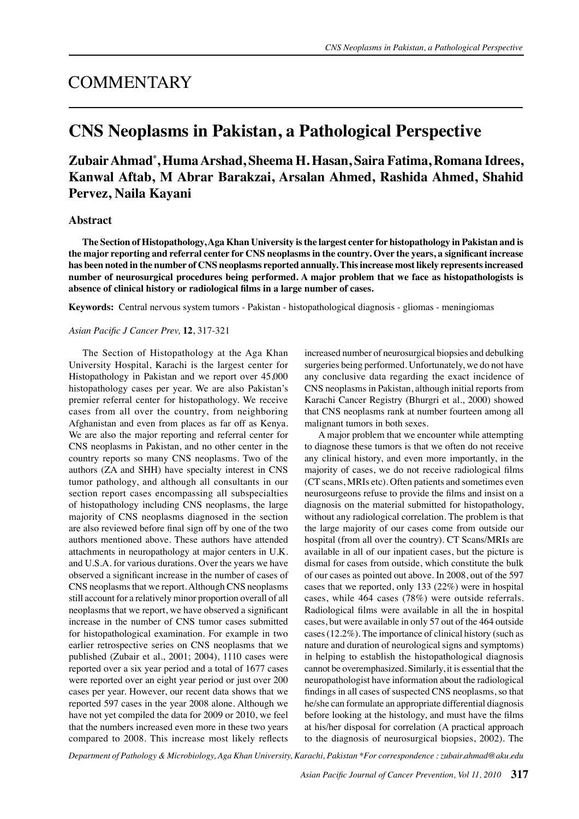# **COMMENTARY**

# **CNS Neoplasms in Pakistan, a Pathological Perspective**

## **Zubair Ahmad\* , Huma Arshad, Sheema H. Hasan, Saira Fatima, Romana Idrees, Kanwal Aftab, M Abrar Barakzai, Arsalan Ahmed, Rashida Ahmed, Shahid Pervez, Naila Kayani**

### **Abstract**

**The Section of Histopathology, Aga Khan University is the largest center for histopathology in Pakistan and is the major reporting and referral center for CNS neoplasms in the country. Over the years, a significant increase has been noted in the number of CNS neoplasms reported annually. This increase most likely represents increased number of neurosurgical procedures being performed. A major problem that we face as histopathologists is absence of clinical history or radiological films in a large number of cases.**

**Keywords:** Central nervous system tumors - Pakistan - histopathological diagnosis - gliomas - meningiomas

#### *Asian Pacific J Cancer Prev,* **12**, 317-321

The Section of Histopathology at the Aga Khan University Hospital, Karachi is the largest center for Histopathology in Pakistan and we report over 45,000 histopathology cases per year. We are also Pakistan's premier referral center for histopathology. We receive cases from all over the country, from neighboring Afghanistan and even from places as far off as Kenya. We are also the major reporting and referral center for CNS neoplasms in Pakistan, and no other center in the country reports so many CNS neoplasms. Two of the authors (ZA and SHH) have specialty interest in CNS tumor pathology, and although all consultants in our section report cases encompassing all subspecialties of histopathology including CNS neoplasms, the large majority of CNS neoplasms diagnosed in the section are also reviewed before final sign off by one of the two authors mentioned above. These authors have attended attachments in neuropathology at major centers in U.K. and U.S.A. for various durations. Over the years we have observed a significant increase in the number of cases of CNS neoplasms that we report. Although CNS neoplasms still account for a relatively minor proportion overall of all neoplasms that we report, we have observed a significant increase in the number of CNS tumor cases submitted for histopathological examination. For example in two earlier retrospective series on CNS neoplasms that we published (Zubair et al., 2001; 2004), 1110 cases were reported over a six year period and a total of 1677 cases were reported over an eight year period or just over 200 cases per year. However, our recent data shows that we reported 597 cases in the year 2008 alone. Although we have not yet compiled the data for 2009 or 2010, we feel that the numbers increased even more in these two years compared to 2008. This increase most likely reflects

increased number of neurosurgical biopsies and debulking surgeries being performed. Unfortunately, we do not have any conclusive data regarding the exact incidence of CNS neoplasms in Pakistan, although initial reports from Karachi Cancer Registry (Bhurgri et al., 2000) showed that CNS neoplasms rank at number fourteen among all malignant tumors in both sexes.

A major problem that we encounter while attempting to diagnose these tumors is that we often do not receive any clinical history, and even more importantly, in the majority of cases, we do not receive radiological films (CT scans, MRIs etc). Often patients and sometimes even neurosurgeons refuse to provide the films and insist on a diagnosis on the material submitted for histopathology, without any radiological correlation. The problem is that the large majority of our cases come from outside our hospital (from all over the country). CT Scans/MRIs are available in all of our inpatient cases, but the picture is dismal for cases from outside, which constitute the bulk of our cases as pointed out above. In 2008, out of the 597 cases that we reported, only 133 (22%) were in hospital cases, while 464 cases (78%) were outside referrals. Radiological films were available in all the in hospital cases, but were available in only 57 out of the 464 outside cases (12.2%). The importance of clinical history (such as nature and duration of neurological signs and symptoms) in helping to establish the histopathological diagnosis cannot be overemphasized. Similarly, it is essential that the neuropathologist have information about the radiological findings in all cases of suspected CNS neoplasms, so that he/she can formulate an appropriate differential diagnosis before looking at the histology, and must have the films at his/her disposal for correlation (A practical approach to the diagnosis of neurosurgical biopsies, 2002). The

*Department of Pathology & Microbiology, Aga Khan University, Karachi, Pakistan \*For correspondence : zubair.ahmad@aku.edu*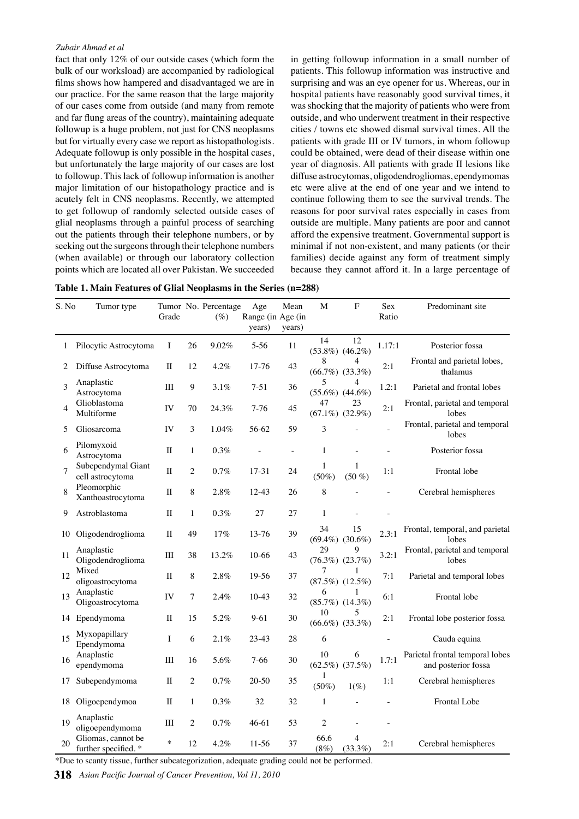#### *Zubair Ahmad et al*

fact that only 12% of our outside cases (which form the bulk of our worksload) are accompanied by radiological films shows how hampered and disadvantaged we are in our practice. For the same reason that the large majority of our cases come from outside (and many from remote and far flung areas of the country), maintaining adequate followup is a huge problem, not just for CNS neoplasms but for virtually every case we report as histopathologists. Adequate followup is only possible in the hospital cases, but unfortunately the large majority of our cases are lost to followup. This lack of followup information is another major limitation of our histopathology practice and is acutely felt in CNS neoplasms. Recently, we attempted to get followup of randomly selected outside cases of glial neoplasms through a painful process of searching out the patients through their telephone numbers, or by seeking out the surgeons through their telephone numbers (when available) or through our laboratory collection points which are located all over Pakistan. We succeeded

in getting followup information in a small number of patients. This followup information was instructive and surprising and was an eye opener for us. Whereas, our in hospital patients have reasonably good survival times, it was shocking that the majority of patients who were from outside, and who underwent treatment in their respective cities / towns etc showed dismal survival times. All the patients with grade III or IV tumors, in whom followup could be obtained, were dead of their disease within one year of diagnosis. All patients with grade II lesions like diffuse astrocytomas, oligodendrogliomas, ependymomas etc were alive at the end of one year and we intend to continue following them to see the survival trends. The reasons for poor survival rates especially in cases from outside are multiple. Many patients are poor and cannot afford the expensive treatment. Governmental support is minimal if not non-existent, and many patients (or their families) decide against any form of treatment simply because they cannot afford it. In a large percentage of

| Table 1. Main Features of Glial Neoplasms in the Series (n=288) |  |  |  |  |
|-----------------------------------------------------------------|--|--|--|--|
|-----------------------------------------------------------------|--|--|--|--|

| S. No          | Tumor type                                | Grade        |                  | Tumor No. Percentage<br>$(\%)$ | Age<br>Range (in Age (in<br>years) | Mean<br>years) | $\mathbf M$              | ${\bf F}$                   | Sex<br>Ratio | Predominant site                                       |
|----------------|-------------------------------------------|--------------|------------------|--------------------------------|------------------------------------|----------------|--------------------------|-----------------------------|--------------|--------------------------------------------------------|
| 1              | Pilocytic Astrocytoma                     | I            | 26               | 9.02%                          | $5 - 56$                           | 11             | 14                       | 12<br>$(53.8\%) (46.2\%)$   | 1.17:1       | Posterior fossa                                        |
| 2              | Diffuse Astrocytoma                       | $\mathbf{I}$ | 12               | 4.2%                           | 17-76                              | 43             | 8                        | 4<br>$(66.7\%) (33.3\%)$    | 2:1          | Frontal and parietal lobes,<br>thalamus                |
| 3              | Anaplastic<br>Astrocytoma                 | III          | $\boldsymbol{9}$ | 3.1%                           | $7 - 51$                           | 36             | 5<br>$(55.6\%) (44.6\%)$ | 4                           | 1.2:1        | Parietal and frontal lobes                             |
| 4              | Glioblastoma<br>Multiforme                | IV           | 70               | 24.3%                          | $7-76$                             | 45             | 47                       | 23<br>$(67.1\%)$ $(32.9\%)$ | 2:1          | Frontal, parietal and temporal<br>lobes                |
| 5              | Gliosarcoma                               | IV           | 3                | 1.04%                          | 56-62                              | 59             | 3                        |                             |              | Frontal, parietal and temporal<br>lobes                |
| 6              | Pilomyxoid<br>Astrocytoma                 | $\mathbf{I}$ | $\mathbf{1}$     | 0.3%                           |                                    | $\bar{a}$      | $\mathbf{1}$             |                             |              | Posterior fossa                                        |
| $\overline{7}$ | Subependymal Giant<br>cell astrocytoma    | $\rm II$     | $\overline{c}$   | 0.7%                           | $17 - 31$                          | 24             | 1<br>$(50\%)$            | 1<br>$(50\%)$               | 1:1          | Frontal lobe                                           |
| 8              | Pleomorphic<br>Xanthoastrocytoma          | $\mathbf{I}$ | 8                | 2.8%                           | $12 - 43$                          | 26             | 8                        |                             |              | Cerebral hemispheres                                   |
| 9              | Astroblastoma                             | $\mathbf{I}$ | $\mathbf{1}$     | 0.3%                           | 27                                 | 27             | $\mathbf{1}$             |                             |              |                                                        |
| 10             | Oligodendroglioma                         | $\mathbf{I}$ | 49               | 17%                            | 13-76                              | 39             | 34                       | 15<br>$(69.4\%) (30.6\%)$   | 2.3:1        | Frontal, temporal, and parietal<br>lobes               |
| 11             | Anaplastic<br>Oligodendroglioma           | $\rm III$    | 38               | 13.2%                          | $10-66$                            | 43             | 29                       | 9<br>$(76.3\%) (23.7\%)$    | 3.2:1        | Frontal, parietal and temporal<br>lobes                |
| 12             | Mixed<br>oligoastrocytoma                 | $\rm II$     | 8                | 2.8%                           | 19-56                              | 37             | 7                        | 1<br>$(87.5\%) (12.5\%)$    | 7:1          | Parietal and temporal lobes                            |
| 13             | Anaplastic<br>Oligoastrocytoma            | IV           | $\tau$           | 2.4%                           | $10-43$                            | 32             | 6                        | 1<br>$(85.7\%) (14.3\%)$    | 6:1          | Frontal lobe                                           |
| 14             | Ependymoma                                | $\mathbf{I}$ | 15               | 5.2%                           | $9 - 61$                           | 30             | 10                       | 5<br>$(66.6\%)$ $(33.3\%)$  | 2:1          | Frontal lobe posterior fossa                           |
| 15             | Myxopapillary<br>Ependymoma               | I            | 6                | 2.1%                           | $23-43$                            | 28             | 6                        |                             |              | Cauda equina                                           |
| 16             | Anaplastic<br>ependymoma                  | III          | 16               | 5.6%                           | $7-66$                             | 30             | 10                       | 6<br>$(62.5\%) (37.5\%)$    | 1.7:1        | Parietal frontal temporal lobes<br>and posterior fossa |
| 17             | Subependymoma                             | $\mathbf{I}$ | $\overline{c}$   | 0.7%                           | $20 - 50$                          | 35             | 1<br>$(50\%)$            | $1(\%)$                     | 1:1          | Cerebral hemispheres                                   |
| 18             | Oligoependymoa                            | $\mathbf{I}$ | $\mathbf{1}$     | 0.3%                           | 32                                 | 32             | $\mathbf{1}$             |                             |              | <b>Frontal Lobe</b>                                    |
| 19             | Anaplastic<br>oligoependymoma             | Ш            | $\overline{c}$   | 0.7%                           | 46-61                              | 53             | $\overline{c}$           |                             |              |                                                        |
| 20             | Gliomas, cannot be<br>further specified.* | $\ast$       | 12               | 4.2%                           | 11-56                              | 37             | 66.6<br>(8%)             | $\overline{4}$<br>(33.3%)   | 2:1          | Cerebral hemispheres                                   |

\*Due to scanty tissue, further subcategorization, adequate grading could not be performed.

**318** *Asian Pacific Journal of Cancer Prevention, Vol 11, 2010*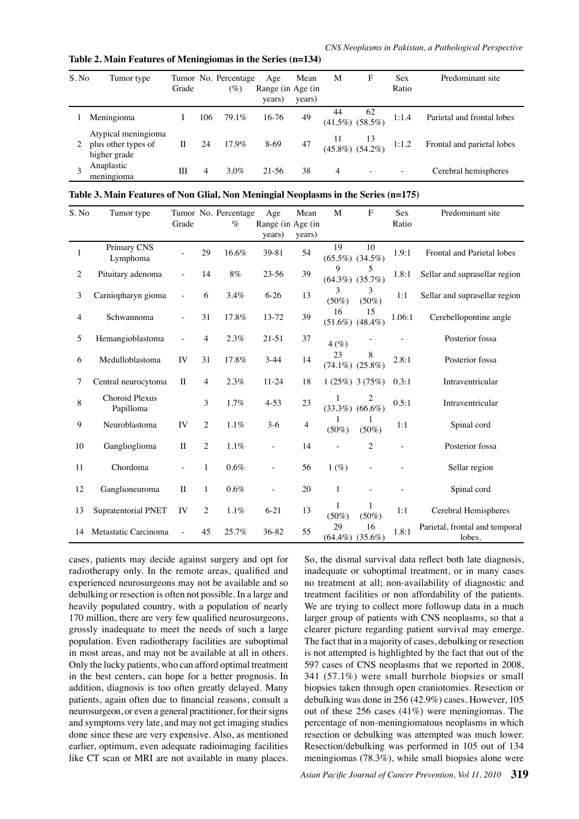**Table 2. Main Features of Meningiomas in the Series (n=134)**

| S. No | Tumor type                                                 | Grade |     | Tumor No. Percentage<br>$(\%)$ | Age<br>Range (in Age (in<br>years) | Mean<br>years) | M  | F                            | <b>Sex</b><br>Ratio | Predominant site           |
|-------|------------------------------------------------------------|-------|-----|--------------------------------|------------------------------------|----------------|----|------------------------------|---------------------|----------------------------|
|       | Meningioma                                                 |       | 106 | 79.1%                          | $16-76$                            | 49             | 44 | 62<br>$(41.5\%)$ $(58.5\%)$  | 1:1.4               | Parietal and frontal lobes |
|       | Atypical meningioma<br>plus other types of<br>higher grade | П     | 24  | $17.9\%$                       | 8-69                               | 47             |    | $11$ $13$<br>(45.8%) (54.2%) | 1:1.2               | Frontal and parietal lobes |
|       | Anaplastic<br>meningioma                                   | Ш     | 4   | 3.0%                           | 21-56                              | 38             | 4  |                              |                     | Cerebral hemispheres       |

| Table 3. Main Features of Non Glial, Non Meningial Neoplasms in the Series (n=175) |  |  |
|------------------------------------------------------------------------------------|--|--|
|                                                                                    |  |  |

| S. No          | Tumor type                         | Grade                    |                | Tumor No. Percentage<br>$\%$ | Age<br>Range (in Age (in<br>years) | Mean<br>years) | M             | ${\bf F}$                             | Sex<br>Ratio | Predominant site                         |                  |
|----------------|------------------------------------|--------------------------|----------------|------------------------------|------------------------------------|----------------|---------------|---------------------------------------|--------------|------------------------------------------|------------------|
| $\mathbf{1}$   | Primary CNS<br>Lymphoma            |                          | 29             | 16.6%                        | 39-81                              | 54             | 19            | 10<br>$(65.5\%) (34.5\%)$             | 1.9:1        | Frontal and Parietal lobes               |                  |
| $\overline{c}$ | Pituitary adenoma                  |                          | 14             | $8\%$                        | $23 - 56$                          | 39             | 9             | 5<br>$(64.3\%) (35.7\%)$              | 1.8:1        | Sellar and suprasellar region            |                  |
| 3              | Carniopharyn gioma                 | $\bar{a}$                | 6              | 3.4%                         | $6 - 26$                           | 13             | 3<br>$(50\%)$ | 3<br>$(50\%)$                         | 1:1          | Sellar and suprasellar region 100.0      |                  |
| 4              | Schwannoma                         |                          | 31             | 17.8%                        | 13-72                              | 39             | 16            | 15<br>$(51.6\%)$ $(48.4\%)$           | 1.06:1       | Cerebellopontine angle                   |                  |
| 5              | Hemangioblastoma                   |                          | 4              | 2.3%                         | $21 - 51$                          | 37             | 4(%)          |                                       |              | Posterior fossa                          | 75.0             |
| 6              | Medulloblastoma                    | IV                       | 31             | 17.8%                        | $3-44$                             | 14             | 23            | 8<br>$(74.1\%) (25.8\%)$              | 2.8:1        | Posterior fossa                          |                  |
| 7              | Central neurocytoma                | $\mathbf{I}$             | 4              | 2.3%                         | $11 - 24$                          | 18             |               | $1(25\%)$ 3 (75%)                     | 0.3:1        | Intraventricular                         | 50.0             |
| 8              | <b>Choroid Plexus</b><br>Papilloma |                          | 3              | 1.7%                         | $4 - 53$                           | 23             |               | $\overline{c}$<br>$(33.3\%) (66.6\%)$ | 0.5:1        | Intraventricular                         |                  |
| 9              | Neuroblastoma                      | IV                       | $\overline{2}$ | $1.1\%$                      | $3-6$                              | $\overline{4}$ | $(50\%)$      | $(50\%)$                              | 1:1          | Spinal cord                              | 25.0             |
| 10             | Ganglioglioma                      | $\rm II$                 | 2              | $1.1\%$                      | $\overline{\phantom{a}}$           | 14             |               | $\sqrt{2}$                            |              | Posterior fossa                          | $\boldsymbol{0}$ |
| 11             | Chordoma                           | $\overline{\phantom{a}}$ | 1              | 0.6%                         | $\overline{\phantom{a}}$           | 56             | 1(%)          | ÷,                                    |              | Sellar region                            |                  |
| 12             | Ganglioneuroma                     | $\rm II$                 | 1              | $0.6\%$                      |                                    | 20             | $\mathbf{1}$  |                                       |              | Spinal cord                              |                  |
| 13             | Supratentorial PNET                | IV                       | $\overline{c}$ | $1.1\%$                      | $6 - 21$                           | 13             | $(50\%)$      | 1<br>$(50\%)$                         | 1:1          | Cerebral Hemispheres                     |                  |
| 14             | Metastatic Carcinoma               |                          | 45             | 25.7%                        | 36-82                              | 55             | 29            | 16<br>$(64.4\%) (35.6\%)$             | 1.8:1        | Parietal, frontal and temporal<br>lobes. |                  |

cases, patients may decide against surgery and opt for radiotherapy only. In the remote areas, qualified and experienced neurosurgeons may not be available and so debulking or resection is often not possible. In a large and heavily populated country, with a population of nearly 170 million, there are very few qualified neurosurgeons, grossly inadequate to meet the needs of such a large population. Even radiotherapy facilities are suboptimal in most areas, and may not be available at all in others. Only the lucky patients, who can afford optimal treatment in the best centers, can hope for a better prognosis. In addition, diagnosis is too often greatly delayed. Many patients, again often due to financial reasons, consult a neurosurgeon, or even a general practitioner, for their signs and symptoms very late, and may not get imaging studies done since these are very expensive. Also, as mentioned earlier, optimum, even adequate radioimaging facilities like CT scan or MRI are not available in many places.

So, the dismal survival data reflect both late diagnosis, inadequate or suboptimal treatment, or in many cases no treatment at all; non-availability of diagnostic and treatment facilities or non affordability of the patients. We are trying to collect more followup data in a much larger group of patients with CNS neoplasms, so that a clearer picture regarding patient survival may emerge. The fact that in a majority of cases, debulking or resection is not attempted is highlighted by the fact that out of the 597 cases of CNS neoplasms that we reported in 2008, 341 (57.1%) were small burrhole biopsies or small biopsies taken through open craniotomies. Resection or debulking was done in 256 (42.9%) cases. However, 105 out of these 256 cases (41%) were meningiomas. The percentage of non-meningiomatous neoplasms in which resection or debulking was attempted was much lower. Resection/debulking was performed in 105 out of 134 meningiomas (78.3%), while small biopsies alone were

**20.3 6.3 10.1**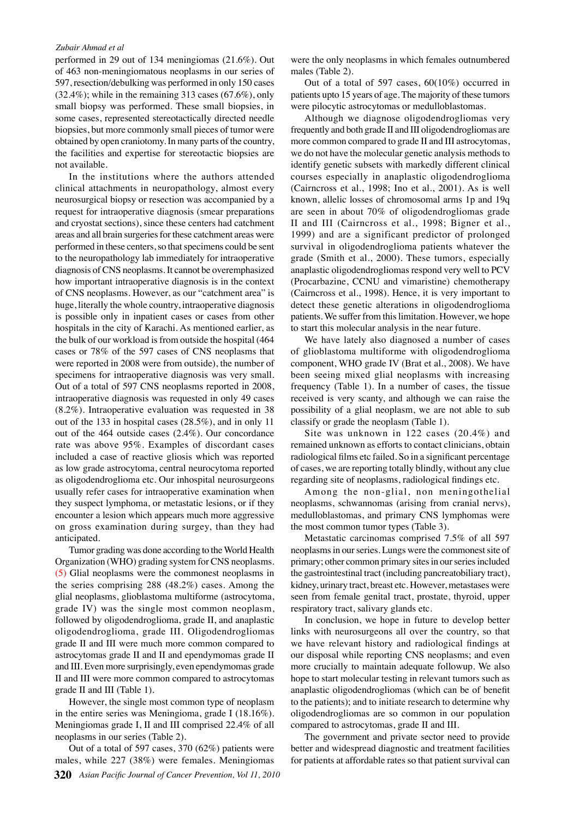#### *Zubair Ahmad et al*

performed in 29 out of 134 meningiomas (21.6%). Out of 463 non-meningiomatous neoplasms in our series of 597, resection/debulking was performed in only 150 cases  $(32.4\%)$ ; while in the remaining 313 cases  $(67.6\%)$ , only small biopsy was performed. These small biopsies, in some cases, represented stereotactically directed needle biopsies, but more commonly small pieces of tumor were obtained by open craniotomy. In many parts of the country, the facilities and expertise for stereotactic biopsies are not available.

In the institutions where the authors attended clinical attachments in neuropathology, almost every neurosurgical biopsy or resection was accompanied by a request for intraoperative diagnosis (smear preparations and cryostat sections), since these centers had catchment areas and all brain surgeries for these catchment areas were performed in these centers, so that specimens could be sent to the neuropathology lab immediately for intraoperative diagnosis of CNS neoplasms. It cannot be overemphasized how important intraoperative diagnosis is in the context of CNS neoplasms. However, as our "catchment area" is huge, literally the whole country, intraoperative diagnosis is possible only in inpatient cases or cases from other hospitals in the city of Karachi. As mentioned earlier, as the bulk of our workload is from outside the hospital (464 cases or 78% of the 597 cases of CNS neoplasms that were reported in 2008 were from outside), the number of specimens for intraoperative diagnosis was very small. Out of a total of 597 CNS neoplasms reported in 2008, intraoperative diagnosis was requested in only 49 cases (8.2%). Intraoperative evaluation was requested in 38 out of the 133 in hospital cases (28.5%), and in only 11 out of the 464 outside cases (2.4%). Our concordance rate was above 95%. Examples of discordant cases included a case of reactive gliosis which was reported as low grade astrocytoma, central neurocytoma reported as oligodendroglioma etc. Our inhospital neurosurgeons usually refer cases for intraoperative examination when they suspect lymphoma, or metastatic lesions, or if they encounter a lesion which appears much more aggressive on gross examination during surgey, than they had anticipated.

Tumor grading was done according to the World Health Organization (WHO) grading system for CNS neoplasms. (5) Glial neoplasms were the commonest neoplasms in the series comprising 288 (48.2%) cases. Among the glial neoplasms, glioblastoma multiforme (astrocytoma, grade IV) was the single most common neoplasm, followed by oligodendroglioma, grade II, and anaplastic oligodendroglioma, grade III. Oligodendrogliomas grade II and III were much more common compared to astrocytomas grade II and II and ependymomas grade II and III. Even more surprisingly, even ependymomas grade II and III were more common compared to astrocytomas grade II and III (Table 1).

However, the single most common type of neoplasm in the entire series was Meningioma, grade I (18.16%). Meningiomas grade I, II and III comprised 22.4% of all neoplasms in our series (Table 2).

**320** *Asian Pacific Journal of Cancer Prevention, Vol 11, 2010* Out of a total of 597 cases, 370 (62%) patients were males, while 227 (38%) were females. Meningiomas

were the only neoplasms in which females outnumbered males (Table 2).

Out of a total of 597 cases, 60(10%) occurred in patients upto 15 years of age. The majority of these tumors were pilocytic astrocytomas or medulloblastomas.

Although we diagnose oligodendrogliomas very frequently and both grade II and III oligodendrogliomas are more common compared to grade II and III astrocytomas, we do not have the molecular genetic analysis methods to identify genetic subsets with markedly different clinical courses especially in anaplastic oligodendroglioma (Cairncross et al., 1998; Ino et al., 2001). As is well known, allelic losses of chromosomal arms 1p and 19q are seen in about 70% of oligodendrogliomas grade II and III (Cairncross et al., 1998; Bigner et al., 1999) and are a significant predictor of prolonged survival in oligodendroglioma patients whatever the grade (Smith et al., 2000). These tumors, especially anaplastic oligodendrogliomas respond very well to PCV (Procarbazine, CCNU and vimaristine) chemotherapy (Cairncross et al., 1998). Hence, it is very important to detect these genetic alterations in oligodendroglioma patients. We suffer from this limitation. However, we hope to start this molecular analysis in the near future.

We have lately also diagnosed a number of cases of glioblastoma multiforme with oligodendroglioma component, WHO grade IV (Brat et al., 2008). We have been seeing mixed glial neoplasms with increasing frequency (Table 1). In a number of cases, the tissue received is very scanty, and although we can raise the possibility of a glial neoplasm, we are not able to sub classify or grade the neoplasm (Table 1).

Site was unknown in 122 cases (20.4%) and remained unknown as efforts to contact clinicians, obtain radiological films etc failed. So in a significant percentage of cases, we are reporting totally blindly, without any clue regarding site of neoplasms, radiological findings etc.

Among the non-glial, non meningothelial neoplasms, schwannomas (arising from cranial nervs), medulloblastomas, and primary CNS lymphomas were the most common tumor types (Table 3).

Metastatic carcinomas comprised 7.5% of all 597 neoplasms in our series. Lungs were the commonest site of primary; other common primary sites in our series included the gastrointestinal tract (including pancreatobiliary tract), kidney, urinary tract, breast etc. However, metastases were seen from female genital tract, prostate, thyroid, upper respiratory tract, salivary glands etc.

In conclusion, we hope in future to develop better links with neurosurgeons all over the country, so that we have relevant history and radiological findings at our disposal while reporting CNS neoplasms; and even more crucially to maintain adequate followup. We also hope to start molecular testing in relevant tumors such as anaplastic oligodendrogliomas (which can be of benefit to the patients); and to initiate research to determine why oligodendrogliomas are so common in our population compared to astrocytomas, grade II and III.

The government and private sector need to provide better and widespread diagnostic and treatment facilities for patients at affordable rates so that patient survival can